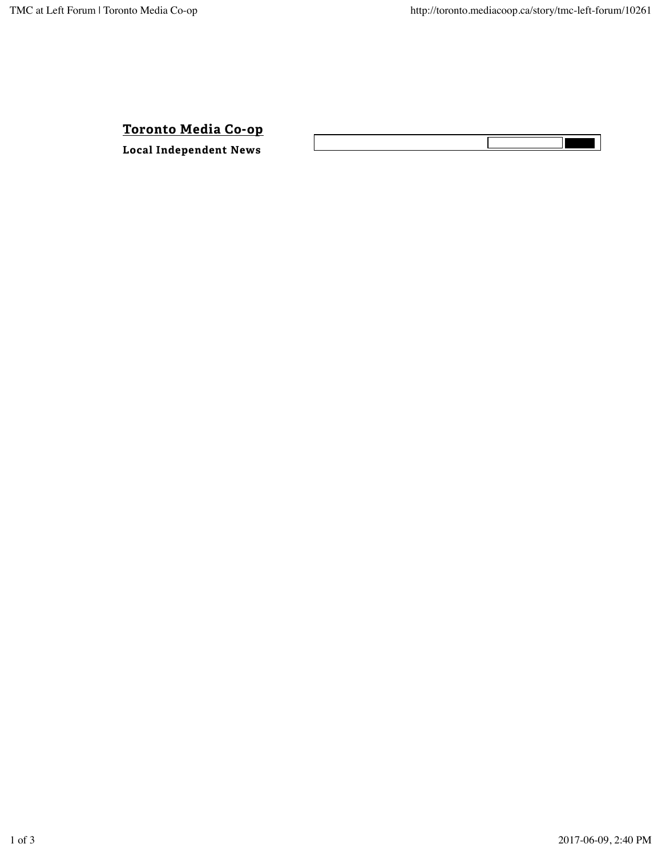**Toronto Media Co-op**

**LOCALLO PIEGIA CO-OP**<br>
Local Independent News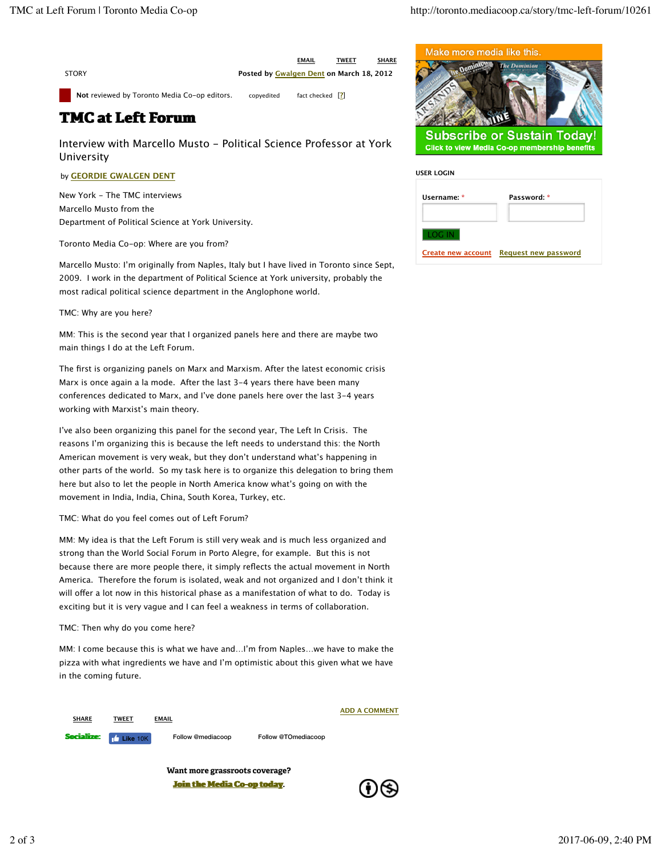**STORY** 

**Posted by Gwalgen Dent on March 18, 2012**

**EMAIL TWEET SHARE**

Not reviewed by Toronto Media Co-op editors. copyedited fact checked [2]

## **TMC at Left Forum**

Interview with Marcello Musto - Political Science Professor at York University

## by **GEORDIE GWALGEN DENT**

New York - The TMC interviews Marcello Musto from the Department of Political Science at York University.

Toronto Media Co-op: Where are you from?

Marcello Musto: I'm originally from Naples, Italy but I have lived in Toronto since Sept, 2009. I work in the department of Political Science at York university, probably the most radical political science department in the Anglophone world.

TMC: Why are you here?

MM: This is the second year that I organized panels here and there are maybe two main things I do at the Left Forum.

The first is organizing panels on Marx and Marxism. After the latest economic crisis Marx is once again a la mode. After the last 3-4 years there have been many conferences dedicated to Marx, and I've done panels here over the last 3-4 years working with Marxist's main theory.

I've also been organizing this panel for the second year, The Left In Crisis. The reasons I'm organizing this is because the left needs to understand this: the North American movement is very weak, but they don't understand what's happening in other parts of the world. So my task here is to organize this delegation to bring them here but also to let the people in North America know what's going on with the movement in India, India, China, South Korea, Turkey, etc.

TMC: What do you feel comes out of Left Forum?

MM: My idea is that the Left Forum is still very weak and is much less organized and strong than the World Social Forum in Porto Alegre, for example. But this is not because there are more people there, it simply reflects the actual movement in North America. Therefore the forum is isolated, weak and not organized and I don't think it will offer a lot now in this historical phase as a manifestation of what to do. Today is exciting but it is very vague and I can feel a weakness in terms of collaboration.

TMC: Then why do you come here?

MM: I come because this is what we have and…I'm from Naples…we have to make the pizza with what ingredients we have and I'm optimistic about this given what we have in the coming future.



**Want more grassroots coverage? Join the Media Co-op today.** 





| <b>USER LOGIN</b>         |                      |
|---------------------------|----------------------|
| Username: *               | Password: *          |
| LOG IN                    |                      |
| <b>Create new account</b> | Request new password |